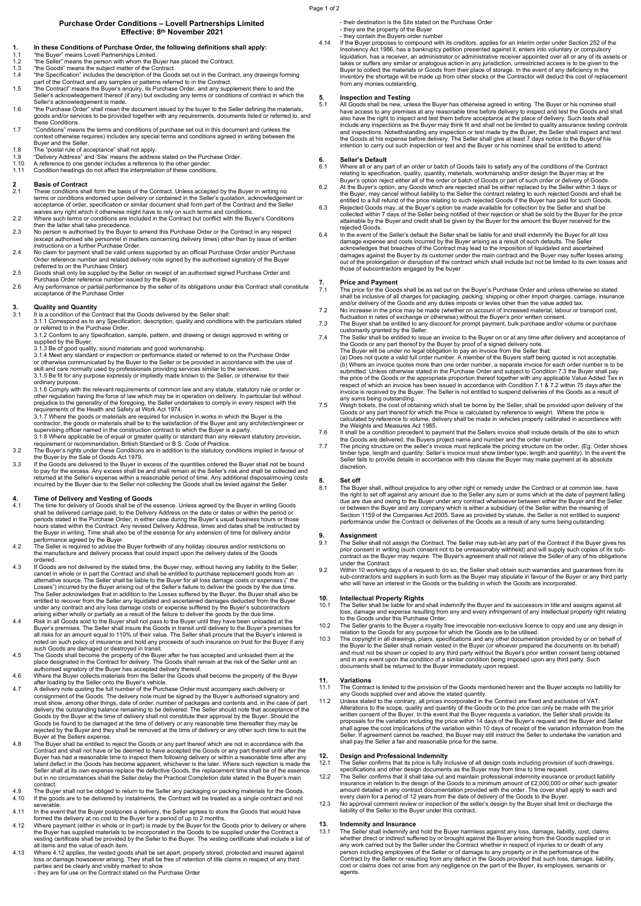### Page 1 of 2

### **Purchase Order Conditions – Lovell Partnerships Limited Effective: 8th November 2021**

- **1. In these Conditions of Purchase Order, the following definitions shall apply:**  1.1 "the Buyer" means Lovell Partnerships Limited.
- 1.2 "the Seller" means the person with whom the Buyer has placed the Contract.<br>1.3 "the Goods" means the subject matter of the Contract.
- 
- 1.3 the Goods" means the subject matter of the Contract.<br>1.4 the Specification" includes the description of the Goods set out in the Contract, any drawings forming<br>part of the Contract and any samples or patterns referred
- 1.5 the Contract' means the Buyer's enquiry, its Purchase Order, and any supplement there to and the<br>Seller's acknowledgement thereof (if any) but excluding any terms or conditions of contract in which the<br>Seller's acknowl
- 1.6 "the Purchase Order" shall mean the document issued by the buyer to the Seller defining the materials, goods and/or services to be provided together with any requirements, documents listed or referred to, and these Conditions.
- 1.7 "Conditions" means the terms and conditions of purchase set out in this document and (unless the context otherwise requires) includes any special terms and conditions agreed in writing between the<br>Buver and the Seller.
- 
- Buyer and the Seller. 1.8 The "postal rule of acceptance" shall not apply. 1.9 "Delivery Address" and 'Site' means the address stated on the Purchase Order. 1.10 A reference to one gender includes a reference to the other gender.
- 1.11 Condition headings do not affect the interpretation of these conditions.

## **2 Basis of Contract**

- These conditions shall form the basis of the Contract. Unless accepted by the Buyer in writing no<br>terms or conditions endorsed upon delivery or contained in the Seller's quotation, acknowledgement or terms or conditions endorsed upon delivery or contained in the Seller's quotation, acknowledgement or<br>acceptance of order, specification or similar document shall form part of the Contract and the Seller<br>waives any right w
- 2.2 Where such terms or conditions are included in the Contract but conflict with the Buyer's Conditions
- then the latter shall take precedence. 2.3 No person is authorised by the Buyer to amend this Purchase Order or the Contract in any respect The personnel in matters concerning delivery times) other than by issue of written<br>instructions on a further Purchase Order.
- Instructions on a further Purchase Order.<br>
2.4 No claim for payment shall be valid unless supported by an official Purchase Order and/or Purchase<br>
Order reference number and related delivery note signed by the authorised s
- 
- 

# **3. Quality and Quantity**<br>**3.1** It is a condition of the Co

It is a condition of the Contract that the Goods delivered by the Seller shall:

- 3.1.1 Correspond as to any Specification, description, quality and conditions with the particulars stated or referred to in the Purchase Order.
- 3.1.2 Conform to any Specification, sample, pattern, and drawing or design approved in writing or supplied by the Buyer.
- 
- 3.1.3 Be of good quality, sound materials and good workmanship.<br>3.1.4 Meet any standard or inspection or performance stated or referred to on the Purchase Order<br>or otherwise communicated by the Buyer to the Seller or be pr

ordinary purpose. 3.1.6 Comply with the relevant requirements of common law and any statute, statutory rule or order or other regulation having the force of law which may be in operation on delivery. In particular but without prejudice to the generality of the foregoing, the Seller undertakes to comply in every respect with the requirements

- supervising officer named in the construction contract to which the Buyer is a party.<br>3.1.8 Where applicable be of equal or greater quality or standard than any relevant statutory provision,<br>requirement or recommendation,
- 
- the Buyer by the Sale of Goods Act 1979.<br>The Goods are delivered to the Buyer in excess of the quantities ordered the Buyer shall not be bound<br>to pay for the excess. Any excess shall be and shall remain at the Seller's ris

- 4. Time of Delivery and Vesting of Goods<br>The time for delivery and Vesting of Goods<br>The time for delivery of Goods shall be delivered carriage paid, to the Delivery Address on the date or dates or within the period or<br>shal
- performance agreed by the Buyer.<br>4.2 The Seller is required to advise the Buyer forthwith of any holiday closures and/or restrictions on<br>the manufacture and delivery process that could impact upon the delivery dates of ordered.
- 4.3 If Goods are not delivered by the stated time, the Buyer may, without having any liability to the Seller,<br>cancel in whole or in part the Contract and shall be entitled to purchase replacement goods from an<br>alternative Losses") incurred by the Buyer arising out of the Seller's failure to deliver the goods by the due time.<br>The Seller acknowledges that in addition to the Losses suffered by the Buyer, the Buyer shall also be<br>entitled to rec
- 
- noted on such policy of insurance and hold any proceeds of such insurance on trust for the Buyer if any<br>such Goods are damaged or destroyed in transit.<br>The Goods shall become the property of the Buyer after he has accepted
- authorised signatory of the Buyer has accepted delivery thereof.<br>4.6 Where the Buyer collects materials from the Seller the Goods shall become the property of the Buyer<br>4.7 A delivery note quoting the full number of the Pu
- consignment of the Goods. The delivery note must be signed by the Buyer's authorised signatory and<br>must show, among other things, date of order, number of packages and contents and, in the case of part<br>delivery the outstan Goods by the Buyer at the time of delivery shall not constitute their approval by the Buyer. Should the Goods be found to be damaged at the time of delivery or any reasonable time thereafter they may be rejected by the Buyer and they shall be removed at the time of delivery or any other such time to suit the Buyer at the Sellers expense.
- 4.8 The Buyer shall be entitled to reject the Goods or any part thereof which are not in accordance with the Contract and shall not have or be deemed to have accepted the Goods or any part thereof until after the<br>Buyer has had a reasonable time to inspect them following delivery or within a reasonable time after any<br>latent defect but in no circumstances shall the Seller delay the Practical Completion date stated in the Buyer's main
- contract.<br>4.9 The Buyer shall not be obliged to return to the Seller any packaging or packing materials for the Goods<br>4.10 If the goods are to be delivered by instalments, the Contract will be treated as a single c severable.
- 4.11 In the event that the Buyer postpones a delivery, the Seller agrees to store the Goods that would have formed the delivery at no cost to the Buyer for a period of up to 2 months.
- 4.12 Where payment (either in whole or in part) is made by the Buyer for the Goods prior to delivery or where the Buyer has supplied materials to be incorporated in the Goods to be supplied under the Contract a vesting certificate shall be provided by the Seller to the Buyer. The vesting certificate shall include a list of all items and the value of each item.
- 4.13 Where 4.12 applies, the vested goods shall be set apart, properly stored, protected and insured against<br>loss or damage howsoever arising. They shall be free of retention of title claims in respect of any third<br>parties
	-
- 
- 
- their destination is the Site stated on the Purchase Order<br>- they are the property of the Buyer<br>- they contain the Buyers order number<br>4.14 If the Buyer proposes to compound with its creditors, applies for an interim ord Thsolvency Act 1986, has a bankruptcy petition presented against it, enters into voluntary or compulsory<br>líquidation, has a receiver, an administrator or administrative receiver appointed over all or any of its assets or<br>t Buyer to collect the materials or Goods from their place of storage. In the event of any deficiency in the<br>inventory the shortage will be made up from other stocks or the Contractor will deduct the cost of replacement<br>from

## **5. Inspection and Testing**<br>5.1 All Goods shall be new. unl

5.1 All Goods shall be new, unless the Buyer has otherwise agreed in writing. The Buyer or his nominee shall<br>have access to any premises at any reasonable time before delivery to inspect and test the Goods and shall<br>also h include any inspections as the Buyer may think fit and shall not be limited to quality assurance testing controls<br>and inspections. Notwithstanding any inspection or test made by the Buyer, the Seller shall inspect and test

**6. Seller's Default** 

- 6.1 Where all or any part of an order or batch of Goods fails to satisty any of the contactor relating to specification, quality, quantity, materials, workmanship and/or design the Buyer may at the Buyer's option reject ei
- attainable by the Buyer and credit shall be given by the Buyer for the amount the Buyer received for the rejected Goods. 6.4 In the event of the Seller's default the Seller shall be liable for and shall indemnify the Buyer for all loss
- damage expense and costs incurred by the Buyer arising as a result of such defaults. The Seller acknowledges that breaches of the Contract may lead to the imposition of liquidated and ascertained damages against the Buyer by its customer under the main contract and the Buyer may suffer losses arising<br>out of the prolongation or disruption of the contract which shall include but not be limited to its own losses and<br>t

**7. Price and Payment**  7.1 The price for the Goods shall be as set out on the Buyer's Purchase Order and unless otherwise so stated shall be inclusive of all charges for packaging, packing, shipping or other import charges, carriage, insurance<br>and/or delivery of the Goods and any duties imposts or levies other than the value added tax.<br>The price may be

- 
- 
- 

2.4 The Seller shall be entitled to issue an invoice to the Buyer on or at any time after delivery and acceptance of<br>The Seller shall be entitled to issue an invoice to the Buyer on or at any time after delivery and accept respect of which an invoice has been issued in accordance with Condition 7.1 & 7.2 within 75 days after the invoice is received by the Buyer. The Seller is not entitled to suspend deliveries of the Goods as a result of<br>any sums being outstanding.<br>7.5 Weigh tickets, the cost of obtaining which shall be borne by the Seller, sh

- Goods or any part thereof for which the Price is calculated by reference to weight. Where the price is<br>calculated by reference to volume, delivery shall be made in vehicles properly calibrated in accordance with<br>the Weigh
- It shall be a condition precedent to payment that the Sellers invoice shall include details of the site to which
- the Goods are delivered, the Buyers project name and number and the order number.<br>The pricing structure on the seller's invoice must replicate the pricing structure on the order. (Eg. Order shows<br>timber type, length and qu Seller fails to provide details in accordance with this clause the Buyer may make payment at its absolute discretion.

### **8. Set off**

8.1 The Buyer shall, without prejudice to any other right or remedy under the Contract or at common law, have<br>the right to set off against any amount due to the Seller any sum or sums which at the date of payment falling<br>d Section 1159 of the Companies Act 2005. Save as provided by statute, the Seller is not entitled to suspend performance under the Contract or deliveries of the Goods as a result of any sums being outstanding.

- 9.1 Assignment<br>The Seller shall not assign the Contract. The Seller may sub-let any part of the Contract if the Buyer gives his<br>prior consent in writing (such consent not to be unreasonably withheld) and will supply such c
- 9.2 Within 10 working days of a request to do so, the Seller shall obtain such warranties and guarantees from its<br>sub-contractors and suppliers in such form as the Buyer may stipulate in favour of the Buyer or any third pa

## **10. Intellectual Property Rights**

- 10.1 The Seller shall be liable for and shall indemnify the Buyer and its successors in title and assigns against all<br>loss, damage and exyense resulting from any and every infringement of any intellectual property right re
- 10.2 The Seller grants to the Buyer a royalty free irrevocable non-exclusive licence to copy and use any design in relation to the Goods for any purpose for which the Goods are to be utilised.
- 10.3 The copyright in all drawings, plans, specifications and any other documentation provided by or on behalf of<br>the Buyer to the Seller shall remain vested in the Buyer (or whoever prepared the documents on its behalf)<br>a documents shall be returned to the Buyer immediately upon request.

- **11. Variations**  11.1 The Contract is limited to the provision of the Goods mentioned herein and the Buyer accepts no liability for<br>any Goods supplied over and above the stated quantity.<br>11.2 Unless stated to the contrary, all prices incor
- Alterations to the scope, quality and quantity of the Goods or to the price can only be made with the prior<br>written consent of the Buyer. In the event that the Buyer requests a variation, the Seller shall provide its<br>propo Seller. If agreement cannot be reached, the Buyer may still instruct the Seller to undertake the variation and shall pay the Seller a fair and reasonable price for the same.

- 12. Design and Professional Indemnity<br>12.1 The Seller confirms that its price is fully inclusive of all design costs including provision of such drawings,<br>specifications and other design documents as the Buyer may from tim
- insurance in relation to the design of the Goods to a minimum amount of £2,000,000 or other such greater<br>amount detailed in any contract documentation provided with the order. The cover shall apply to each and<br>every claim
- 

**13. Indemnity and Insurance**<br>13.1 The Seller shall indemnify and hold the Buyer harmless against any loss, damage, liability, cost, claims whether direct or indirect suffered by or brought against the Buyer arising from the Goods supplied or in<br>any work carried out by the Seller under the Contract whether in respect of injuries to or death of any<br>person inclu agents.